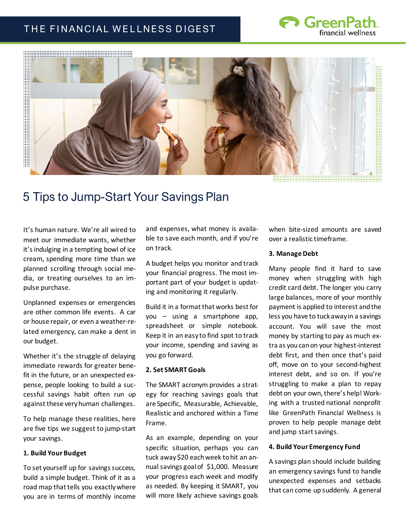# THE FINANCIAL WELLNESS DIGEST





# 5 Tips to Jump-Start Your Savings Plan

It's human nature. We're all wired to meet our immediate wants, whether it's indulging in a tempting bowl of ice cream, spending more time than we planned scrolling through social media, or treating ourselves to an impulse purchase.

Unplanned expenses or emergencies are other common life events. A car or house repair, or even a weather-related emergency, can make a dent in our budget.

Whether it's the struggle of delaying immediate rewards for greater benefit in the future, or an unexpected expense, people looking to build a successful savings habit often run up against these very human challenges.

To help manage these realities, here are five tips we suggest to jump-start your savings.

# **1. Build Your Budget**

To set yourself up for savings success, build a simple budget. Think of it as a road map that tells you exactly where you are in terms of monthly income

and expenses, what money is available to save each month, and if you're on track.

A budget helps you monitor and track your financial progress. The most important part of your budget is updating and monitoring it regularly.

Build it in a format that works best for you – using a smartphone app, spreadsheet or simple notebook. Keep it in an easy to find spot to track your income, spending and saving as you go forward.

#### **2. Set SMART Goals**

The SMART acronym provides a strategy for reaching savings goals that are Specific, Measurable, Achievable, Realistic and anchored within a Time Frame.

As an example, depending on your specific situation, perhaps you can tuck away \$20 each week to hit an annual savings goal of \$1,000. Measure your progress each week and modify as needed. By keeping it SMART, you will more likely achieve savings goals

when bite-sized amounts are saved over a realistic timeframe.

#### **3. Manage Debt**

Many people find it hard to save money when struggling with high credit card debt. The longer you carry large balances, more of your monthly payment is applied to interest and the less you have to tuck away in a savings account. You will save the most money by starting to pay as much extra as you can on your highest-interest debt first, and then once that's paid off, move on to your second-highest interest debt, and so on. If you're struggling to make a plan to repay debt on your own, there's help! Working with a trusted national nonprofit like GreenPath Financial Wellness is proven to help people manage debt and jump start savings.

# **4. Build Your Emergency Fund**

A savings plan should include building an emergency savings fund to handle unexpected expenses and setbacks that can come up suddenly. A general